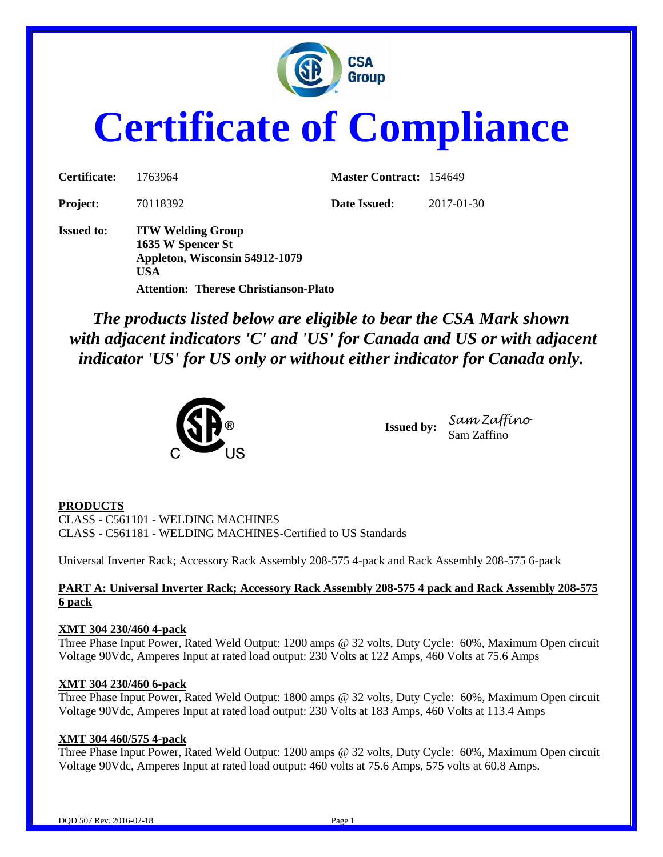

# **Certificate of Compliance**

| Certificate:      | 1763964                                                                                | <b>Master Contract: 154649</b> |            |
|-------------------|----------------------------------------------------------------------------------------|--------------------------------|------------|
| <b>Project:</b>   | 70118392                                                                               | Date Issued:                   | 2017-01-30 |
| <b>Issued to:</b> | <b>ITW Welding Group</b><br>1635 W Spencer St<br>Appleton, Wisconsin 54912-1079<br>USA |                                |            |
|                   | Attention: Therese Christianson-Plato                                                  |                                |            |

*The products listed below are eligible to bear the CSA Mark shown with adjacent indicators 'C' and 'US' for Canada and US or with adjacent indicator 'US' for US only or without either indicator for Canada only.*



**Issued by:** *Sam Zaffino* Sam Zaffino

# **PRODUCTS**

CLASS - C561101 - WELDING MACHINES CLASS - C561181 - WELDING MACHINES-Certified to US Standards

Universal Inverter Rack; Accessory Rack Assembly 208-575 4-pack and Rack Assembly 208-575 6-pack

# **PART A: Universal Inverter Rack; Accessory Rack Assembly 208-575 4 pack and Rack Assembly 208-575 6 pack**

# **XMT 304 230/460 4-pack**

Three Phase Input Power, Rated Weld Output: 1200 amps @ 32 volts, Duty Cycle: 60%, Maximum Open circuit Voltage 90Vdc, Amperes Input at rated load output: 230 Volts at 122 Amps, 460 Volts at 75.6 Amps

# **XMT 304 230/460 6-pack**

Three Phase Input Power, Rated Weld Output: 1800 amps @ 32 volts, Duty Cycle: 60%, Maximum Open circuit Voltage 90Vdc, Amperes Input at rated load output: 230 Volts at 183 Amps, 460 Volts at 113.4 Amps

# **XMT 304 460/575 4-pack**

Three Phase Input Power, Rated Weld Output: 1200 amps @ 32 volts, Duty Cycle: 60%, Maximum Open circuit Voltage 90Vdc, Amperes Input at rated load output: 460 volts at 75.6 Amps, 575 volts at 60.8 Amps.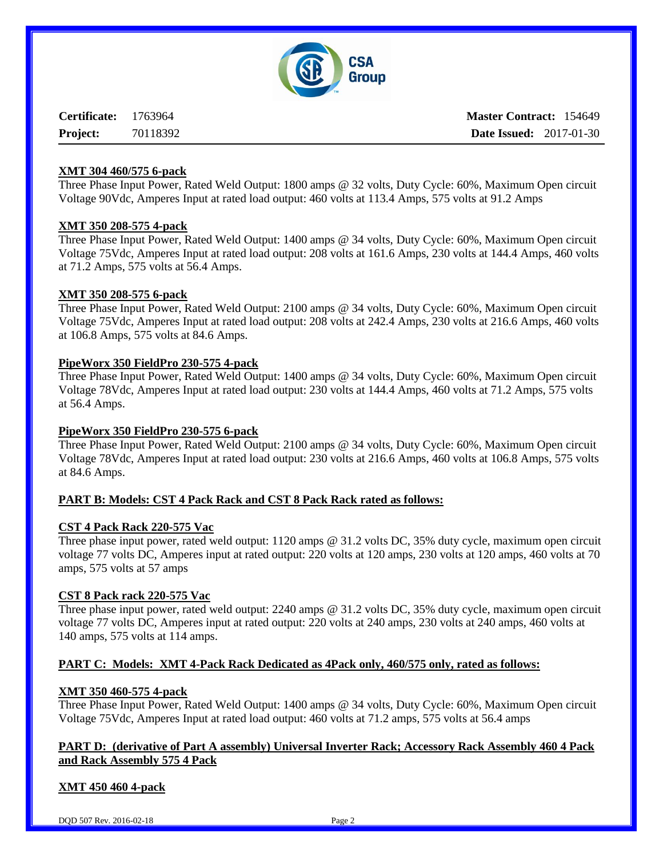

**Certificate:** 1763964 **Project:** 70118392 **Master Contract:** 154649 **Date Issued:** 2017-01-30

## **XMT 304 460/575 6-pack**

Three Phase Input Power, Rated Weld Output: 1800 amps @ 32 volts, Duty Cycle: 60%, Maximum Open circuit Voltage 90Vdc, Amperes Input at rated load output: 460 volts at 113.4 Amps, 575 volts at 91.2 Amps

# **XMT 350 208-575 4-pack**

Three Phase Input Power, Rated Weld Output: 1400 amps @ 34 volts, Duty Cycle: 60%, Maximum Open circuit Voltage 75Vdc, Amperes Input at rated load output: 208 volts at 161.6 Amps, 230 volts at 144.4 Amps, 460 volts at 71.2 Amps, 575 volts at 56.4 Amps.

#### **XMT 350 208-575 6-pack**

Three Phase Input Power, Rated Weld Output: 2100 amps @ 34 volts, Duty Cycle: 60%, Maximum Open circuit Voltage 75Vdc, Amperes Input at rated load output: 208 volts at 242.4 Amps, 230 volts at 216.6 Amps, 460 volts at 106.8 Amps, 575 volts at 84.6 Amps.

# **PipeWorx 350 FieldPro 230-575 4-pack**

Three Phase Input Power, Rated Weld Output: 1400 amps @ 34 volts, Duty Cycle: 60%, Maximum Open circuit Voltage 78Vdc, Amperes Input at rated load output: 230 volts at 144.4 Amps, 460 volts at 71.2 Amps, 575 volts at 56.4 Amps.

#### **PipeWorx 350 FieldPro 230-575 6-pack**

Three Phase Input Power, Rated Weld Output: 2100 amps @ 34 volts, Duty Cycle: 60%, Maximum Open circuit Voltage 78Vdc, Amperes Input at rated load output: 230 volts at 216.6 Amps, 460 volts at 106.8 Amps, 575 volts at 84.6 Amps.

# **PART B: Models: CST 4 Pack Rack and CST 8 Pack Rack rated as follows:**

#### **CST 4 Pack Rack 220-575 Vac**

Three phase input power, rated weld output: 1120 amps @ 31.2 volts DC, 35% duty cycle, maximum open circuit voltage 77 volts DC, Amperes input at rated output: 220 volts at 120 amps, 230 volts at 120 amps, 460 volts at 70 amps, 575 volts at 57 amps

#### **CST 8 Pack rack 220-575 Vac**

Three phase input power, rated weld output: 2240 amps @ 31.2 volts DC, 35% duty cycle, maximum open circuit voltage 77 volts DC, Amperes input at rated output: 220 volts at 240 amps, 230 volts at 240 amps, 460 volts at 140 amps, 575 volts at 114 amps.

# **PART C: Models: XMT 4-Pack Rack Dedicated as 4Pack only, 460/575 only, rated as follows:**

#### **XMT 350 460-575 4-pack**

Three Phase Input Power, Rated Weld Output: 1400 amps @ 34 volts, Duty Cycle: 60%, Maximum Open circuit Voltage 75Vdc, Amperes Input at rated load output: 460 volts at 71.2 amps, 575 volts at 56.4 amps

# **PART D: (derivative of Part A assembly) Universal Inverter Rack; Accessory Rack Assembly 460 4 Pack and Rack Assembly 575 4 Pack**

# **XMT 450 460 4-pack**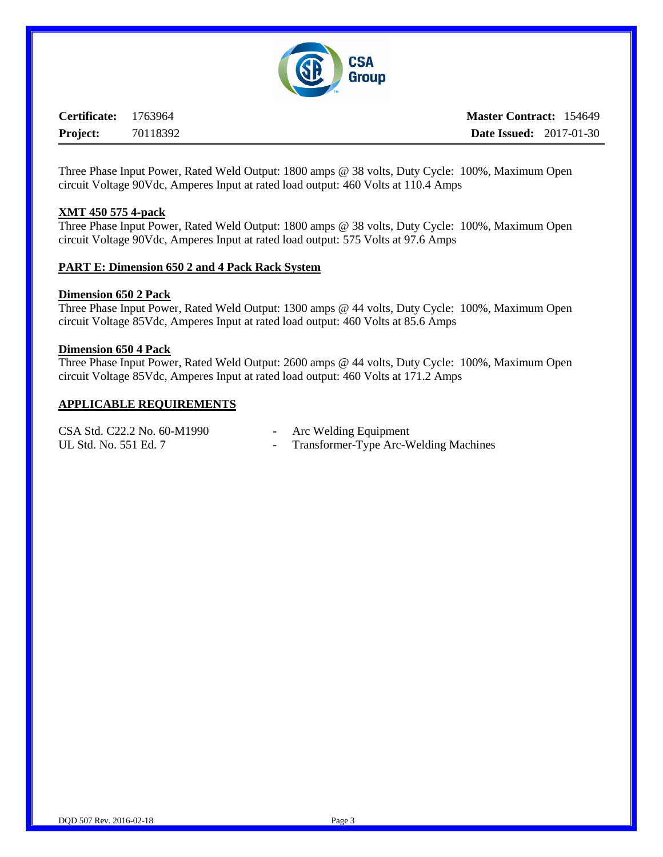

**Certificate:** 1763964 **Project:** 70118392 **Master Contract:** 154649 **Date Issued:** 2017-01-30

Three Phase Input Power, Rated Weld Output: 1800 amps @ 38 volts, Duty Cycle: 100%, Maximum Open circuit Voltage 90Vdc, Amperes Input at rated load output: 460 Volts at 110.4 Amps

#### **XMT 450 575 4-pack**

Three Phase Input Power, Rated Weld Output: 1800 amps @ 38 volts, Duty Cycle: 100%, Maximum Open circuit Voltage 90Vdc, Amperes Input at rated load output: 575 Volts at 97.6 Amps

## **PART E: Dimension 650 2 and 4 Pack Rack System**

#### **Dimension 650 2 Pack**

Three Phase Input Power, Rated Weld Output: 1300 amps @ 44 volts, Duty Cycle: 100%, Maximum Open circuit Voltage 85Vdc, Amperes Input at rated load output: 460 Volts at 85.6 Amps

#### **Dimension 650 4 Pack**

Three Phase Input Power, Rated Weld Output: 2600 amps @ 44 volts, Duty Cycle: 100%, Maximum Open circuit Voltage 85Vdc, Amperes Input at rated load output: 460 Volts at 171.2 Amps

#### **APPLICABLE REQUIREMENTS**

| CSA Std. C22.2 No. 60-M1990 | Arc Welding Equipment                   |
|-----------------------------|-----------------------------------------|
| UL Std. No. 551 Ed. 7       | - Transformer-Type Arc-Welding Machines |